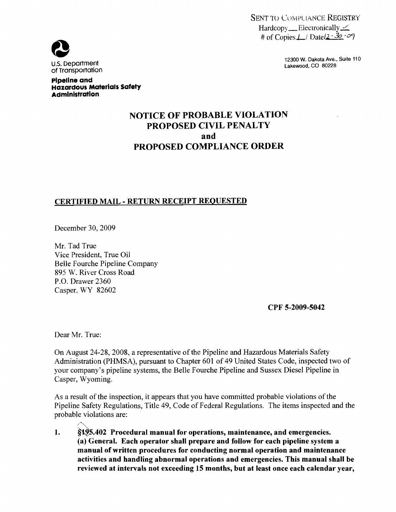SENT TO COMPLIANCE REGISTRY  $Hardcopy$  Electronically  $\angle$ # of Copies $\perp$  Datel $2 - 32 - 9$ 



Pipeline and

Administration

Hazardous Materials Safety

12300 W. Dakota Ave., Suite 110<br>Lakewood, CO 80228

# NOTICE OF PROBABLE VIOLATION PROPOSED CIVIL PENALTY and PROPOSED COMPLIANCE ORDER

# CERTIFIED MAIL - RETURN RECEIPT REQUESTED

December 30, 2009

Mr. Tad True Vice President, True Oil Belle Fourche Pipeline Company 895 W. River Cross Road P.O. Drawer 2360 Casper, WY 82602

CPF 5-2009-5042

Dear Mr. True:

On August 24-28, 2008, a representative of the Pipeline and Hazardous Materials Safety Administration (PHMSA), pursuant to Chapter 601 of 49 United States Code, inspected two of your company's pipeline systems, the Belle Fourche Pipeline and Sussex Diesel Pipeline in Casper, Wyoming.

As a result of the inspection, it appears that you have committed probable violations of the Pipeline Safety Regulations, Title 49, Code of Federal Regulations. The items inspected and the probable violations are:

1. §1.95.402 Procedural manual for operations, maintenance, and emergencies. (a) General. Each operator shall prepare and follow for each pipeline system a manual of written procedures for conducting normal operation and maintenance activities and handling abnormal operations and emergencies. This manual shall be reviewed at intervals not exceeding 15 months, but at least once each calendar year,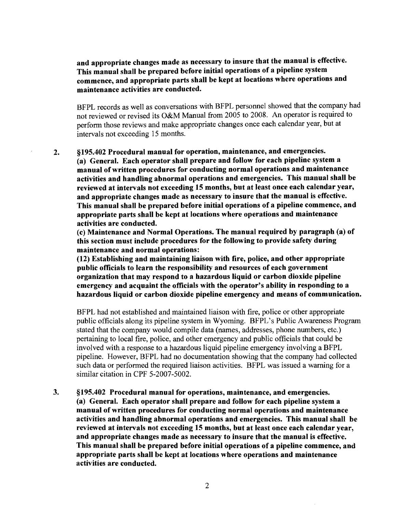and appropriate changes made as necessary to insure that the manual is effective. This manual shall be prepared before initial operations of a pipeline system commence, and appropriate parts shall be kept at locations where operations and maintenance activities are conducted.

BFPL records as well as conversations with BFPL personnel showed that the company had not reviewed or revised its O&M Manual from 2005 to 2008. An operator is required to perform those reviews and make appropriate changes once each calendar year, but at intervals not exceeding 15 months.

2. §195.402 Procedural manual for operation, maintenance, and emergencies. (a) General. Each operator shall prepare and follow for each pipeline system a manual ofwritten procedures for conducting normal operations and maintenance activities and handling abnormal operations and emergencies. This manual shall be reviewed at intervals not exceeding 15 months, but at least once each calendar year, and appropriate changes made as necessary to insure that the manual is effective. This manual shall be prepared before initial operations of a pipeline commence, and appropriate parts shall be kept at locations where operations and maintenance activities are conducted.

(c) Maintenance and Normal Operations. The manual required by paragraph (a) of this section must include procedures for the following to provide safety during maintenance and normal operations:

(12) Establishing and maintaining liaison with fire, police, and other appropriate public officials to learn the responsibility and resources of each government organization that may respond to a hazardous liquid or carbon dioxide pipeline emergency and acquaint the officials with the operator's ability in responding to a hazardous liquid or carbon dioxide pipeline emergency and means of communication.

BFPL had not established and maintained liaison with fire, police or other appropriate public officials along its pipeline system in Wyoming. BFPL's Public Awareness Program stated that the company would compile data (names, addresses, phone numbers, etc.) pertaining to local fire, police, and other emergency and public officials that could be involved with a response to a hazardous liquid pipeline emergency involving a BFPL pipeline. However, BFPL had no documentation showing that the company had collected such data or performed the required liaison activities. BFPL was issued a warning for a similar citation in CPF 5-2007-5002.

3. §195.402 Procedural manual for operations, maintenance, and emergencies. (a) General. Each operator shall prepare and follow for each pipeline system a manual of written procedures for conducting normal operations and maintenance activities and handling abnormal operations and emergencies. This manual shall be reviewed at intervals not exceeding 15 months, but at least once each calendar year, and appropriate changes made as necessary to insure that the manual is effective. This manual shall be prepared before initial operations of a pipeline commence, and appropriate parts shall be kept at locations where operations and maintenance activities are conducted.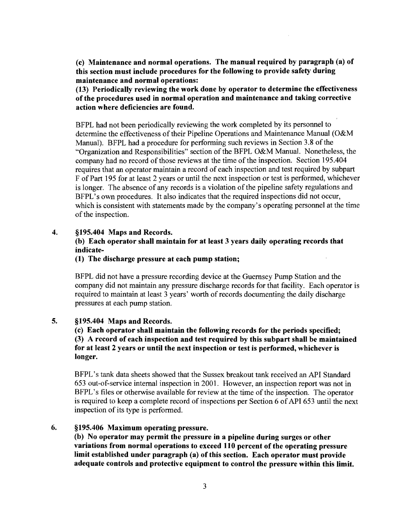(c) Maintenance and normal operations. The manual required by paragraph (a) of this section must include procedures for the following to provide safety during maintenance and normal operations:

(13) Periodically reviewing the work done by operator to determine the effectiveness of the procedures used in normal operation and maintenance and taking corrective action where deficiencies are found.

BFPL had not been periodically reviewing the work completed by its personnel to determine the effectiveness of their Pipeline Operations and Maintenance Manual (O&M Manual). BFPL had a procedure for performing such reviews in Section 3.8 of the "Organization and Responsibilities" section of the BFPL O&M Manual. Nonetheless, the company had no record of those reviews at the time of the inspection. Section 195.404 requires that an operator maintain a record of each inspection and test required by subpart F of Part 195 for at least 2 years or until the next inspection or test is performed, whichever is longer. The absence of any records is a violation of the pipeline safety regulations and BFPL's own procedures. It also indicates that the required inspections did not occur, which is consistent with statements made by the company's operating personnel at the time of the inspection.

#### 4. §195.404 Maps and Records.

# (b) Each operator shall maintain for at least 3 years daily operating records that indicate

#### (I) The discharge pressure at each pump station;

BFPL did not have a pressure recording device at the Guernsey Pump Station and the company did not maintain any pressure discharge records for that facility. Each operator is required to maintain at least 3 years' worth of records documenting the daily discharge pressures at each pump station.

#### 5. §195.404 Maps and Records.

(c) Each operator shall maintain the following records for the periods specified; (3) A record of each inspection and test required by this subpart shall be maintained for at least 2 years or until the next inspection or test is performed, whichever is longer.

BFPL's tank data sheets showed that the Sussex breakout tank received an API Standard 653 out-of-service internal inspection in 2001. However, an inspection report was not in BFPL's files or otherwise available for review at the time of the inspection. The operator is required to keep a complete record of inspections per Section 6 of API 653 until the next inspection of its type is performed.

#### 6. §195.406 Maximum operating pressure.

(b) No operator may permit the pressure in a pipeline during surges or other variations from normal operations to exceed 110 percent of the operating pressure limit established under paragraph (a) of this section. Each operator must provide adequate controls and protective equipment to control the pressure within this limit.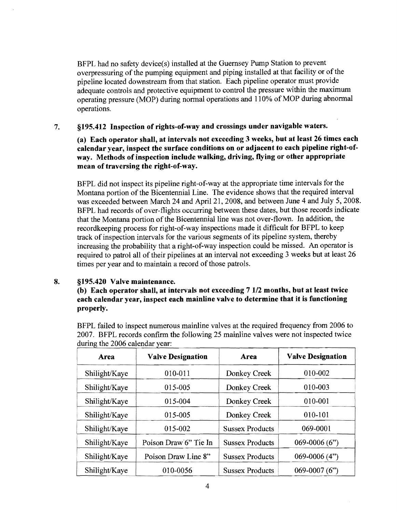BFPL had no safety device(s) installed at the Guernsey Pump Station to prevent overpressuring of the pumping equipment and piping installed at that facility or of the pipeline located downstream from that station. Each pipeline operator must provide adequate controls and protective equipment to control the pressure within the maximum operating pressure (MOP) during normal operations and 110% of MOP during abnormal operations.

7. §195.412 Inspection of rights-of-way and crossings under navigable waters.

(a) Each operator shall, at intervals not exceeding 3 weeks, but at least 26 times each calendar year, inspect the surface conditions on or adjacent to each pipeline right-ofway. Methods of inspection include walking, driving, flying or other appropriate mean of traversing the right-of-way.

BFPL did not inspect its pipeline right-of-way at the appropriate time intervals for the Montana portion of the Bicentennial Line. The evidence shows that the required interval was exceeded between March 24 and April 21, 2008, and between June 4 and July 5, 2008. BFPL had records of over-flights occurring between these dates, but those records indicate that the Montana portion of the Bicentennial line was not over-flown. In addition, the recordkeeping process for right-of-way inspections made it difficult for BFPL to keep track of inspection intervals for the various segments of its pipeline system, thereby increasing the probability that a right-of-way inspection could be missed. An operator is required to patrol all of their pipelines at an interval not exceeding 3 weeks but at least 26 times per year and to maintain a record of those patrols.

# 8. §195.420 Valve maintenance.

# (b) Each operator shall, at intervals not exceeding 7112 months, but at least twice each calendar year, inspect each mainline valve to determine that it is functioning properly.

BFPL failed to inspect numerous mainline valves at the required frequency from 2006 to 2007. BFPL records confirm the following 25 mainline valves were not inspected twice during the 2006 calendar year:

| Area          | <b>Valve Designation</b> | Area                   | <b>Valve Designation</b> |
|---------------|--------------------------|------------------------|--------------------------|
| Shilight/Kaye | 010-011                  | Donkey Creek           | 010-002                  |
| Shilight/Kaye | 015-005                  | Donkey Creek           | 010-003                  |
| Shilight/Kaye | $015 - 004$              | Donkey Creek           | 010-001                  |
| Shilight/Kaye | 015-005                  | Donkey Creek           | 010-101                  |
| Shilight/Kaye | 015-002                  | <b>Sussex Products</b> | 069-0001                 |
| Shilight/Kaye | Poison Draw 6" Tie In    | <b>Sussex Products</b> | $069 - 0006(6")$         |
| Shilight/Kaye | Poison Draw Line 8"      | <b>Sussex Products</b> | $069-0006(4")$           |
| Shilight/Kaye | 010-0056                 | <b>Sussex Products</b> | $069 - 0007(6")$         |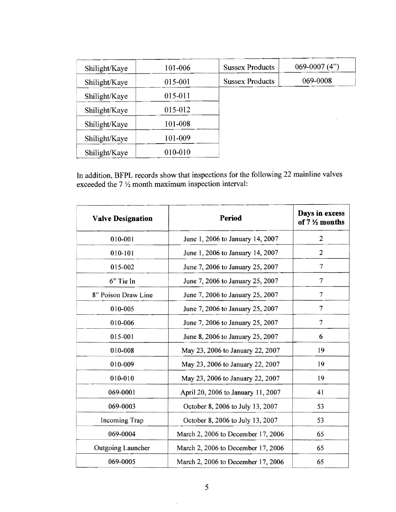| Shilight/Kaye | 101-006 | <b>Sussex Products</b> | 069-0007 $(4")$ |
|---------------|---------|------------------------|-----------------|
|               |         |                        |                 |
| Shilight/Kaye | 015-001 | <b>Sussex Products</b> | 069-0008        |
| Shilight/Kaye | 015-011 |                        |                 |
| Shilight/Kaye | 015-012 |                        |                 |
| Shilight/Kaye | 101-008 |                        |                 |
| Shilight/Kaye | 101-009 |                        |                 |
| Shilight/Kaye | 010-010 |                        |                 |

 $\sim$ 

**In** addition, BFPL records show that inspections for the following 22 mainline valves exceeded the  $7\frac{1}{2}$  month maximum inspection interval:

| <b>Valve Designation</b> | Period                             | Days in excess<br>of 7 1/2 months |
|--------------------------|------------------------------------|-----------------------------------|
| 010-001                  | June 1, 2006 to January 14, 2007   | $\overline{2}$                    |
| 010-101                  | June 1, 2006 to January 14, 2007   | $\overline{c}$                    |
| 015-002                  | June 7, 2006 to January 25, 2007   | 7                                 |
| 6" Tie In                | June 7, 2006 to January 25, 2007   | 7                                 |
| 8" Poison Draw Line      | June 7, 2006 to January 25, 2007   | $\overline{7}$                    |
| 010-005                  | June 7, 2006 to January 25, 2007   | 7                                 |
| 010-006                  | June 7, 2006 to January 25, 2007   | 7                                 |
| 015-001                  | June 8, 2006 to January 25, 2007   | 6                                 |
| 010-008                  | May 23, 2006 to January 22, 2007   | 19                                |
| 010-009                  | May 23, 2006 to January 22, 2007   | 19                                |
| 010-010                  | May 23, 2006 to January 22, 2007   | 19                                |
| 069-0001                 | April 20, 2006 to January 11, 2007 | 41                                |
| 069-0003                 | October 8, 2006 to July 13, 2007   | 53                                |
| Incoming Trap            | October 8, 2006 to July 13, 2007   | 53                                |
| 069-0004                 | March 2, 2006 to December 17, 2006 | 65                                |
| Outgoing Launcher        | March 2, 2006 to December 17, 2006 | 65                                |
| 069-0005                 | March 2, 2006 to December 17, 2006 | 65                                |

 $\hat{\mathcal{A}}$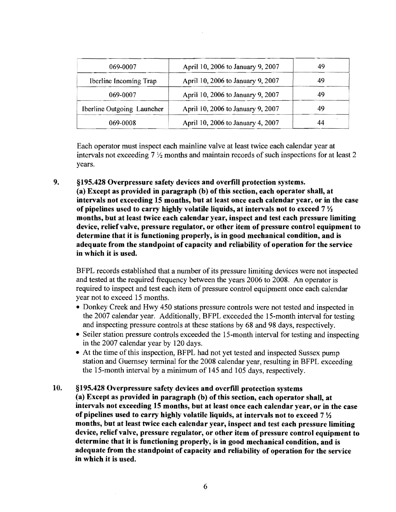| 069-0007                   | April 10, 2006 to January 9, 2007 | 49  |
|----------------------------|-----------------------------------|-----|
| Iberline Incoming Trap     | April 10, 2006 to January 9, 2007 | -49 |
| 069-0007                   | April 10, 2006 to January 9, 2007 | 49  |
| Iberline Outgoing Launcher | April 10, 2006 to January 9, 2007 | 49  |
| 069-0008                   | April 10, 2006 to January 4, 2007 | 44  |

Each operator must inspect each mainline valve at least twice each calendar year at intervals not exceeding 7 *Yz* months and maintain records of such inspections for at least 2 years.

9. §195.428 Overpressure safety devices and overfill protection systems. (a) Except as provided in paragraph (b) ofthis section, each operator shall, at intervals not exceeding 15 months, but at least once each calendar year, or in the case of pipelines used to carry highly volatile liquids, at intervals not to exceed 7 *Yz*  months, but at least twice each calendar year, inspect and test each pressure limiting device, relief valve, pressure regulator, or other item of pressure control equipment to determine that it is functioning properly, is in good mechanical condition, and is adequate from the standpoint of capacity and reliability of operation for the service in which it is used.

BFPL records established that a number of its pressure limiting devices were not inspected and tested at the required frequency between the years 2006 to 2008. An operator is required to inspect and test each item of pressure control equipment once each calendar year not to exceed 15 months.

- Donkey Creek and Hwy 450 stations pressure controls were not tested and inspected in the 2007 calendar year. Additionally, BFPL exceeded the IS-month interval for testing and inspecting pressure controls at these stations by 68 and 98 days, respectively.
- Seiler station pressure controls exceeded the 15-month interval for testing and inspecting in the 2007 calendar year by 120 days.
- At the time of this inspection, BFPL had not yet tested and inspected Sussex pump station and Guernsey terminal for the 2008 calendar year, resulting in BFPL exceeding the IS-month interval by a minimum of 145 and 105 days, respectively.
- 10. §195.428 Overpressure safety devices and overfill protection systems (a) Except as provided in paragraph (b) of this section, each operator shall, at intervals not exceeding 15 months, but at least once each calendar year, or in the case of pipelines used to carry highly volatile liquids, at intervals not to exceed 7 *Yz*  months, but at least twice each calendar year, inspect and test each pressure limiting device, relief valve, pressure regulator, or other item of pressure control equipment to determine that it is functioning properly, is in good mechanical condition, and is adequate from the standpoint of capacity and reliability of operation for the service in which it is used.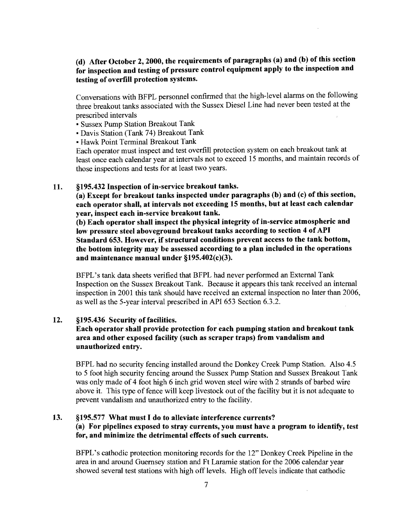# (d) After October 2, 2000, the requirements of paragraphs (a) and (b) of this section for inspection and testing of pressure control equipment apply to the inspection and testing of overfill protection systems.

Conversations with BFPL personnel confinned that the high-level alanns on the following three breakout tanks associated with the Sussex Diesel Line had never been tested at the prescribed intervals

- Sussex Pump Station Breakout Tank
- Davis Station (Tank 74) Breakout Tank
- Hawk Point Terminal Breakout Tank

Each operator must inspect and test overfill protection system on each breakout tank at least once each calendar year at intervals not to exceed 15 months, and maintain records of those inspections and tests for at least two years.

## 11. §195.432 Inspection of in-service breakout tanks.

(a) Except for breakout tanks inspected under paragraphs (b) and (c) of this section, each operator shall, at intervals not exceeding 15 months, but at least each calendar year, inspect each in-service breakout tank.

(b) Each operator shall inspect the physical integrity of in-service atmospheric and low pressure steel aboveground breakout tanks according to section 4 of API Standard 653. However, if structural conditions prevent access to the tank bottom, the bottom integrity may be assessed according to a plan included in the operations and maintenance manual under §195.402(c)(3).

BFPL's tank data sheets verified that BFPL had never perfonned an External Tank Inspection on the Sussex Breakout Tank. Because it appears this tank received an internal inspection in 2001 this tank should have received an external inspection no later than 2006, as well as the 5-year interval prescribed in API 653 Section 6.3.2.

#### 12. §195.436 Security of facilities.

# Each operator shall provide protection for each pumping station and breakout tank area and other exposed facility (such as scraper traps) from vandalism and unauthorized entry.

BFPL had no security fencing installed around the Donkey Creek Pump Station. Also 4.5 to 5 foot high security fencing around the Sussex Pump Station and Sussex Breakout Tank was only made of 4 foot high 6 inch grid woven steel wire with 2 strands of barbed wire above it. This type of fence will keep livestock out of the facility but it is not adequate to prevent vandalism and unauthorized entry to the facility.

## 13. §195.577 What must I do to alleviate interference currents? (a) For pipelines exposed to stray currents, you must have a program to identity, test for, and minimize the detrimental effects of such currents.

BFPL's cathodic protection monitoring records for the 12" Donkey Creek Pipeline in the area in and around Guernsey station and Ft Laramie station for the 2006 calendar year showed several test stations with high off levels. High off levels indicate that cathodic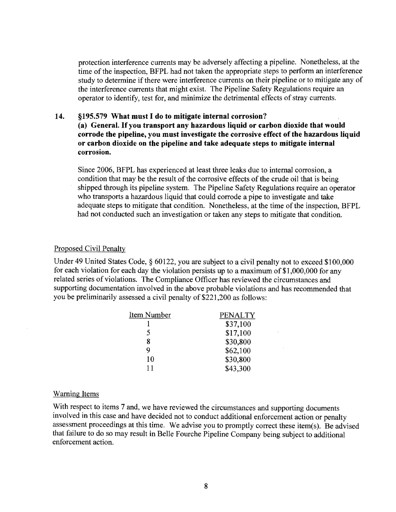protection interference currents may be adversely affecting a pipeline. Nonetheless, at the time of the inspection, BFPL had not taken the appropriate steps to perform an interference study to determine if there were interference currents on their pipeline or to mitigate any of the interference currents that might exist. The Pipeline Safety Regulations require an operator to identify, test for, and minimize the detrimental effects of stray currents.

#### **14. §195.579 What must I do to mitigate internal corrosion? (a)** General. Ifyou **transport any hazardous liquid or carbon dioxide that would corrode the pipeline, you must investigate the corrosive effect of the hazardous liquid or carbon dioxide on the pipeline and take adequate steps to mitigate internal corrosion.**

Since 2006, BFPL has experienced at least three leaks due to internal corrosion, a condition that may be the result of the corrosive effects of the crude oil that is being shipped through its pipeline system. The Pipeline Safety Regulations require an operator who transports a hazardous liquid that could corrode a pipe to investigate and take adequate steps to mitigate that condition. Nonetheless, at the time of the inspection, BFPL had not conducted such an investigation or taken any steps to mitigate that condition.

#### Proposed Civil Penalty

Under 49 United States Code, § 60122, you are subject to a civil penalty not to exceed \$100,000 for each violation for each day the violation persists up to a maximum of  $$1,000,000$  for any related series of violations. The Compliance Officer has reviewed the circumstances and supporting documentation involved in the above probable violations and has recommended that you be preliminarily assessed a civil penalty of \$221,200 as follows:

| Item Number | <b>PENALTY</b> |
|-------------|----------------|
|             | \$37,100       |
| 5           | \$17,100       |
| 8           | \$30,800       |
| Q           | \$62,100       |
| 10          | \$30,800       |
| 11          | \$43,300       |

#### Warning Items

With respect to items 7 and, we have reviewed the circumstances and supporting documents involved in this case and have decided not to conduct additional enforcement action or penalty assessment proceedings at this time. We advise you to promptly correct these item(s). Be advised that failure to do so may result in Belle Fourche Pipeline Company being subject to additional enforcement action.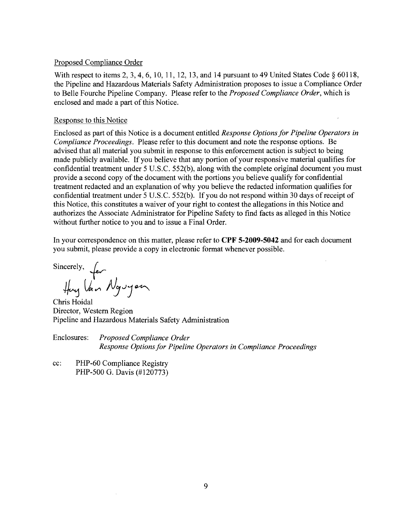#### Proposed Compliance Order

With respect to items 2, 3, 4, 6, 10, 11, 12, 13, and 14 pursuant to 49 United States Code § 60118, the Pipeline and Hazardous Materials Safety Administration proposes to issue a Compliance Order to Belle Fourche Pipeline Company. Please refer to the *Proposed Compliance Order,* which is enclosed and made a part of this Notice.

#### Response to this Notice

Enclosed as part of this Notice is a document entitled *Response Options for Pipeline Operators in Compliance Proceedings.* Please refer to this document and note the response options. Be advised that all material you submit in response to this enforcement action is subject to being made publicly available. If you believe that any portion of your responsive material qualifies for confidential treatment under 5 U.S.C. 552(b), along with the complete original document you must provide a second copy of the document with the portions you believe qualify for confidential treatment redacted and an explanation of why you believe the redacted information qualifies for confidential treatment under 5 U.S.C. 552(b). If you do not respond within 30 days ofreceipt of this Notice, this constitutes a waiver of your right to contest the allegations in this Notice and authorizes the Associate Administrator for Pipeline Safety to find facts as alleged in this Notice without further notice to you and to issue a Final Order.

In your correspondence on this matter, please refer to **CPF 5-2009-5042** and for each document you submit, please provide a copy in electronic format whenever possible.

Sincerely,  $\int_{\mathcal{E}}$ lan Nguy*an* 

Chris Hoidal Director, Western Region Pipeline and Hazardous Materials Safety Administration

Enclosures: *Proposed Compliance Order Response Options for Pipeline Operators in Compliance Proceedings* 

cc: PHP-60 Compliance Registry PHP-500 G. Davis (#120773)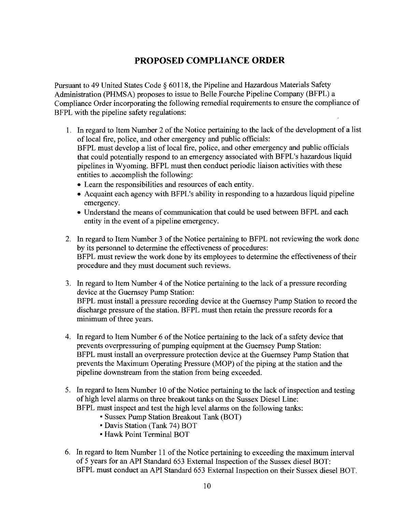# **PROPOSED COMPLIANCE ORDER**

Pursuant to 49 United States Code § 60118, the Pipeline and Hazardous Materials Safety Administration (PHMSA) proposes to issue to Belle.Fourche Pipeline Company (BFPL) a Compliance Order incorporating the following remedial requirements to ensure the compliance of BFPL with the pipeline safety regulations:

- 1. In regard to Item Number 2 of the Notice pertaining to the lack of the development of a list of local fire, police, and other emergency and public officials: BFPL must develop a list of local fire, police, and other emergency and public officials that could potentially respond to an emergency associated with BFPL's hazardous liquid pipelines in Wyoming. BFPL must then conduct periodic liaison activities with these entities to .accomplish the following:
	- Learn the responsibilities and resources of each entity.
	- Acquaint each agency with BFPL's ability in responding to a hazardous liquid pipeline emergency.
	- Understand the means of communication that could be used between BFPL and each entity in the event of a pipeline emergency.
- 2. In regard to Item Number 3 of the Notice pertaining to BFPL not reviewing the work done by its personnel to determine the effectiveness of procedures: BFPL must review the work done by its employees to determine the effectiveness of their procedure and they must document such reviews.
- 3. In regard to Item Number 4 of the Notice pertaining to the lack of a pressure recording device at the Guernsey Pump Station: BFPL must install a pressure recording device at the Guernsey Pump Station to record the discharge pressure of the station. BFPL must then retain the pressure records for a minimum of three years.
- 4. In regard to Item Number 6 of the Notice pertaining to the lack of a safety device that prevents overpressuring of pumping equipment at the Guernsey Pump Station: BFPL must install an overpressure protection device at the Guernsey Pump Station that prevents the Maximum Operating Pressure (MOP) of the piping at the station and the pipeline downstream from the station from being exceeded.
- 5. In regard to Item Number 10 of the Notice pertaining to the lack of inspection and testing of high level alarms on three breakout tanks on the Sussex Diesel Line: BFPL must inspect and test the high level alarms on the following tanks:
	- Sussex Pump Station Breakout Tank (BOT)
	- Davis Station (Tank 74) BOT
	- Hawk Point Terminal BOT
- 6. In regard to Item Number 11 of the Notice pertaining to exceeding the maximum interval of 5 years for an API Standard 653 External Inspection of the Sussex diesel BOT: BFPL must conduct an API Standard 653 External Inspection on their Sussex diesel BOT.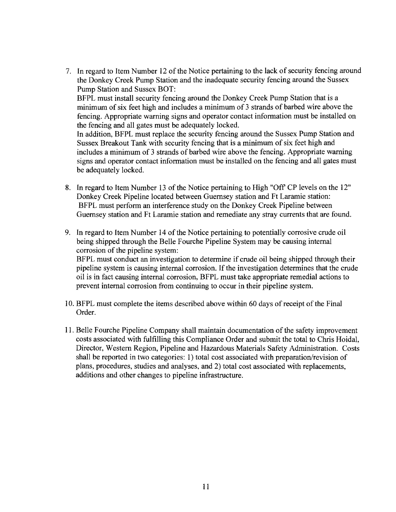7. In regard to Item Number 12 of the Notice pertaining to the lack of security fencing around the Donkey Creek Pump Station and the inadequate security fencing around the Sussex Pump Station and Sussex BOT: BFPL must install security fencing around the Donkey Creek Pump Station that is a minimum of six feet high and includes a minimum of 3 strands of barbed wire above the fencing. Appropriate warning signs and operator contact information must be installed on the fencing and all gates must be adequately locked.

In addition, BFPL must replace the security fencing around the Sussex Pump Station and Sussex Breakout Tank with security fencing that is a minimum of six feet high and includes a minimum of 3 strands of barbed wire above the fencing. Appropriate warning signs and operator contact information must be installed on the fencing and all gates must be adequately locked.

- 8. In regard to Item Number 13 of the Notice pertaining to High "Off CP levels on the 12" Donkey Creek Pipeline located between Guernsey station and Ft Laramie station: BFPL must perform an interference study on the Donkey Creek Pipeline between Guernsey station and Ft Laramie station and remediate any stray currents that are found.
- 9. In regard to Item Number 14 of the Notice pertaining to potentially corrosive crude oil being shipped through the Belle Fourche Pipeline System may be causing internal corrosion of the pipeline system: BFPL must conduct an investigation to determine if crude oil being shipped through their pipeline system is causing internal corrosion. If the investigation determines that the crude

oil is in fact causing internal corrosion, BFPL must take appropriate remedial actions to prevent internal corrosion from continuing to occur in their pipeline system.

- 10. BFPL must complete the items described above within 60 days ofreceipt ofthe Final Order.
- 11. Belle Fourche Pipeline Company shall maintain documentation ofthe safety improvement costs associated with fulfilling this Compliance Order and submit the total to Chris Hoidal, Director, Western Region, Pipeline and Hazardous Materials Safety Administration. Costs shall be reported in two categories: 1) total cost associated with preparation/revision of plans, procedures, studies and analyses, and 2) total cost associated with replacements, additions and other changes to pipeline infrastructure.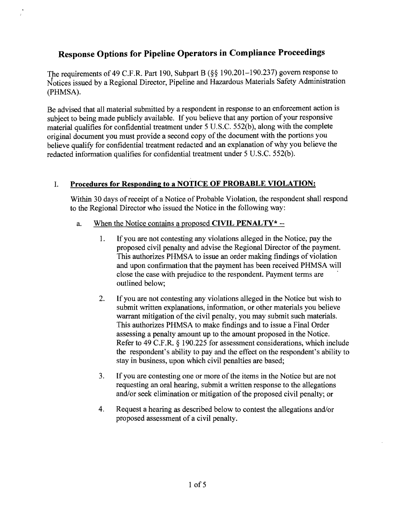# **Response Options for Pipeline Operators in Compliance Proceedings**

The requirements of 49 C.F.R. Part 190, Subpart B (§§ 190.201-190.237) govern response to Notices issued by a Regional Director, Pipeline and Hazardous Materials Safety Administration (PHMSA).

Be advised that all material submitted by a respondent in response to an enforcement action is subject to being made publicly available. If you believe that any portion of your responsive material qualifies for confidential treatment under 5 U.S.C. 552(b), along with the complete original document you must provide a second copy ofthe document with the portions you believe qualify for confidential treatment redacted and an explanation of why you believe the redacted information qualifies for confidential treatment under 5 U.S.c. 552(b).

# 1. **Procedures for Responding to a NOTICE OF PROBABLE VIOLATION:**

Within 30 days of receipt of a Notice of Probable Violation, the respondent shall respond to the Regional Director who issued the Notice in the following way:

- a. When the Notice contains a proposed **CIVIL PENALTY**\* --
	- I. If you are not contesting any violations alleged in the Notice; pay the proposed civil penalty and advise the Regional Director of the payment. This authorizes PHMSA to issue an order making findings of violation and upon confirmation that the payment has been received PHMSA will close the case with prejudice to the respondent. Payment terms are outlined below;
	- 2. If you are not contesting any violations alleged in the Notice but wish to submit written explanations, information, or other materials you believe warrant mitigation of the civil penalty, you may submit such materials. This authorizes PHMSA to make findings and to issue a Final Order assessing a penalty amount up to the amount proposed in the Notice. Refer to 49 C.F.R. § 190.225 for assessment considerations, which include the respondent's ability to pay and the effect on the respondent's ability to stay in business, upon which civil penalties are based;
	- 3. If you are contesting one or more of the items in the Notice but are not requesting an oral hearing, submit a written response to the allegations and/or seek elimination or mitigation of the proposed civil penalty; or
	- 4. Request a hearing as described below to contest the allegations and/or proposed assessment of a civil penalty.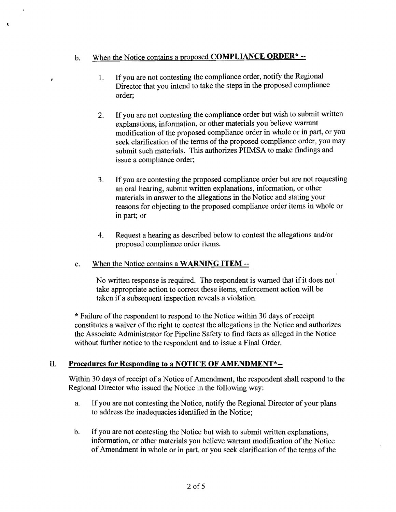# b. When the Notice contains a proposed **COMPLIANCE ORDER\*** --

 $\cdot$ 

- 1. If you are not contesting the compliance order, notify the Regional Director that you intend to take the steps in the proposed compliance order;
- 2. If you are not contesting the compliance order but wish to submit written explanations, information, or other materials you believe warrant modification of the proposed compliance order in whole or in part, or you seek clarification of the terms of the proposed compliance order, you may submit such materials. This authorizes PHMSA to make findings and issue a compliance order;
- 3. If you are contesting the proposed compliance order but are not requesting an oral hearing, submit written explanations, information, or other materials in answer to the allegations in the Notice and stating your reasons for objecting to the proposed compliance order items in whole or in part; or
- 4. Request a hearing as described below to contest the allegations and/or proposed compliance order items.

# c. When the Notice contains a **WARNING ITEM** -

No written response is required. The respondent is warned that if it does not take appropriate action to correct these items, enforcement action will be taken if a subsequent inspection reveals a violation.

\* Failure of the respondent to respond to the Notice within 30 days of receipt constitutes a waiver of the right to contest the allegations in the Notice and authorizes the Associate Administrator for Pipeline Safety to find facts as alleged in the Notice without further notice to the respondent and to issue a Final Order.

# II. **Procedures for Responding to a NOTICE OF AMENDMENT\*-**

Within 30 days of receipt of a Notice of Amendment, the respondent shall respond to the Regional Director who issued the Notice in the following way:

- a. If you are not contesting the Notice, notify the Regional Director of your plans to address the inadequacies identified in the Notice;
- b. If you are not contesting the Notice but wish to submit written explanations, information, or other materials you believe warrant modification of the Notice of Amendment in whole or in part, or you seek clarification of the terms of the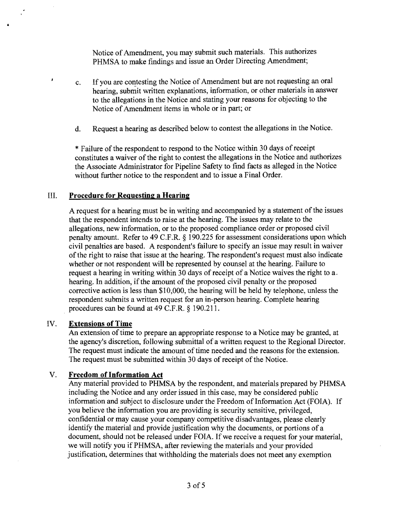Notice of Amendment, you may submit such materials. This authorizes PHMSA to make findings and issue an Order Directing Amendment;

- c. If you are contesting the Notice of Amendment but are not requesting an oral hearing, submit written explanations, information, or other materials in answer to the allegations in the Notice and stating your reasons for objecting to the Notice of Amendment items in whole or in part; or
- d. Request a hearing as described below to contest the allegations in the Notice.

\* Failure of the respondent to respond to the Notice within 30 days ofreceipt constitutes a waiver of the right to contest the allegations in the Notice and authorizes the Associate Administrator for Pipeline Safety to find facts as alleged in the Notice without further notice to the respondent and to issue a Final Order.

#### III. **Procedure for Requesting a Hearing**

A request for a hearing must be in writing and accompanied by a statement of the issues that the respondent intends to raise at the hearing. The issues may relate to the allegations, new information, or to the proposed compliance order or proposed civil penalty amount. Refer to 49 C.F.R. § 190.225 for assessment considerations upon which civil penalties are based. A respondent's failure to specify an issue may result in waiver ofthe right to raise that issue at the hearing. The respondent's request must also indicate whether or not respondent will be represented by counsel at the hearing. Failure to request a hearing in writing within 30 days of receipt of a Notice waives the right to a. hearing. In addition, if the amount of the proposed civil penalty or the proposed corrective action is less than \$10,000, the hearing will be held by telephone, unless the respondent submits a written request for an in-person hearing. Complete hearing procedures can be found at 49 C.F.R. § 190.211.

#### IV. **Extensions of Time**

×

An extension of time to prepare an appropriate response to a Notice may be granted, at the agency's discretion, following submittal of a written request to the Regional Director. The request must indicate the amount of time needed and the reasons for the extension. The request must be submitted within 30 days of receipt of the Notice.

#### V. **Freedom** of Information **Act**

Any material provided to PHMSA by the respondent, and materials prepared by PHMSA including the Notice and any order issued in this case, may be considered public information and subject to disclosure under the Freedom of Information Act (FOIA). If you believe the information you are providing is security sensitive, privileged, confidential or may cause your company competitive disadvantages, please clearly identify the material and provide justification why the documents, or portions of a document, should not be released under FOIA. If we receive a request for your material, we will notify you ifPHMSA, after reviewing the materials and your provided justification, determines that withholding the materials does not meet any exemption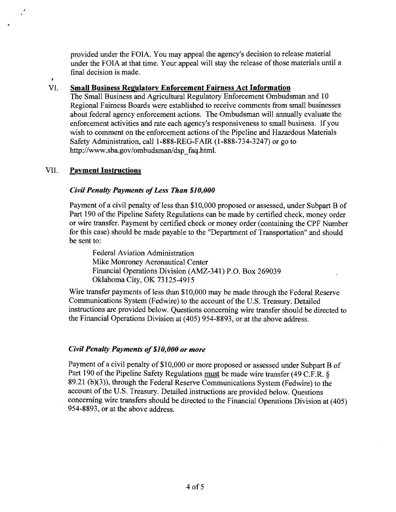provided under the FOIA. You may appeal the agency's decision to release material under the FOIA at that time. Your appeal will stay the release of those materials until a final decision is made.

#### VI. Small Business Regulatory Enforcement Fairness Act Information

The Small Business and Agricultural Regulatory Enforcement Ombudsman and 10 Regional Fairness Boards were established to receive comments from small businesses about federal agency enforcement actions. The Ombudsman will annually evaluate the enforcement activities and rate each agency's responsiveness to small business. If you wish to comment on the enforcement actions of the Pipeline and Hazardous Materials Safety Administration, call 1-888-REG-F AIR (1-888-734-3247) or go to http://www.sba.gov/ombudsman/dsp\_faq.html.

# VII. Payment Instructions

 $\mathbf{r}$ 

# *Civil Penalty Payments ofLess Than \$10,000*

Payment of a civil penalty of less than \$10,000 proposed or assessed, under Subpart B of Part 190 of the Pipeline Safety Regulations can be made by certified check, money order or wire transfer. Payment by certified check or money order (containing the CPF Number for this case) should be made payable to the "Department of Transportation" and should be sent to:

Federal Aviation Administration Mike Monroney Aeronautical Center Financial Operations Division (AMZ-341) P.O. Box 269039 Oklahoma City, OK 73125-4915

Wire transfer payments of less than \$10,000 may be made through the Federal Reserve Communications System (Fedwire) to the account of the U.S. Treasury. Detailed instructions are provided below. Questions concerning wire transfer should be directed to the Financial Operations Division at (405) 954-8893, or at the above address.

# *Civil Penalty Payments of\$10,000 or more*

Payment of a civil penalty of \$10,000 or more proposed or assessed under Subpart B of Part 190 of the Pipeline Safety Regulations must be made wire transfer (49 C.F.R. § 89.21 (b)(3)), through the Federal Reserve Communications System (Fedwire) to the account of the U.S. Treasury. Detailed instructions are provided below. Questions concerning wire transfers should be directed to the Financial Operations Division at (405) 954-8893, or at the above address.